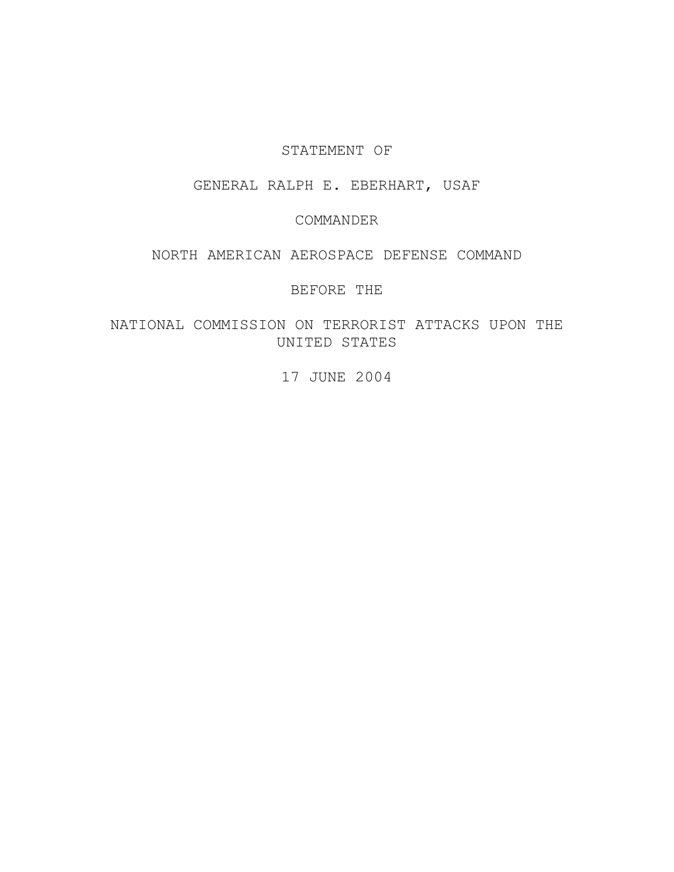### STATEMENT OF

# GENERAL RALPH E. EBERHART, USAF

## COMMANDER

## NORTH AMERICAN AEROSPACE DEFENSE COMMAND

## BEFORE THE

# NATIONAL COMMISSION ON TERRORIST ATTACKS UPON THE UNITED STATES

## 17 JUNE 2004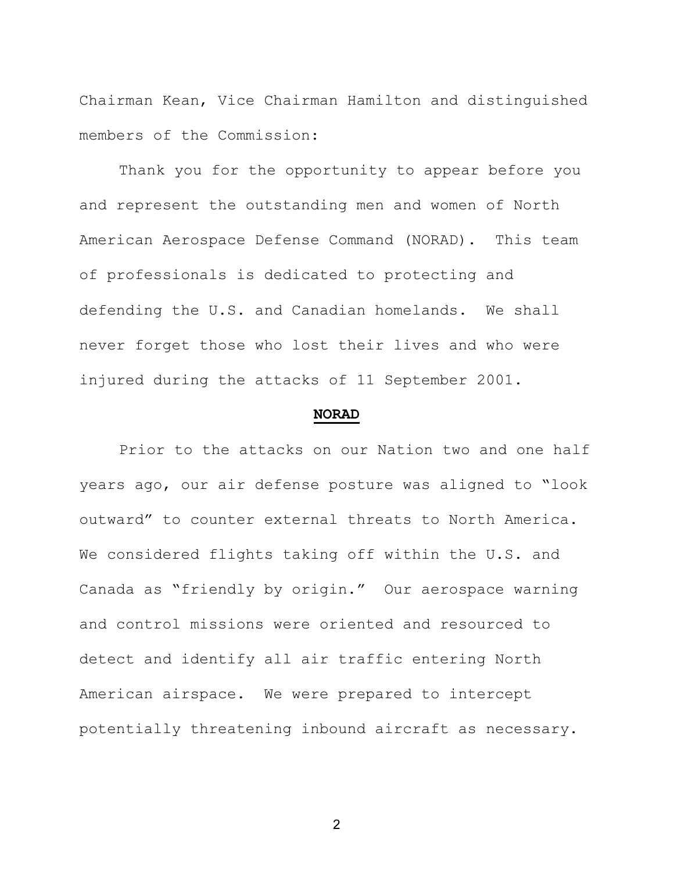Chairman Kean, Vice Chairman Hamilton and distinguished members of the Commission:

 Thank you for the opportunity to appear before you and represent the outstanding men and women of North American Aerospace Defense Command (NORAD). This team of professionals is dedicated to protecting and defending the U.S. and Canadian homelands. We shall never forget those who lost their lives and who were injured during the attacks of 11 September 2001.

#### **NORAD**

Prior to the attacks on our Nation two and one half years ago, our air defense posture was aligned to "look outward" to counter external threats to North America. We considered flights taking off within the U.S. and Canada as "friendly by origin." Our aerospace warning and control missions were oriented and resourced to detect and identify all air traffic entering North American airspace. We were prepared to intercept potentially threatening inbound aircraft as necessary.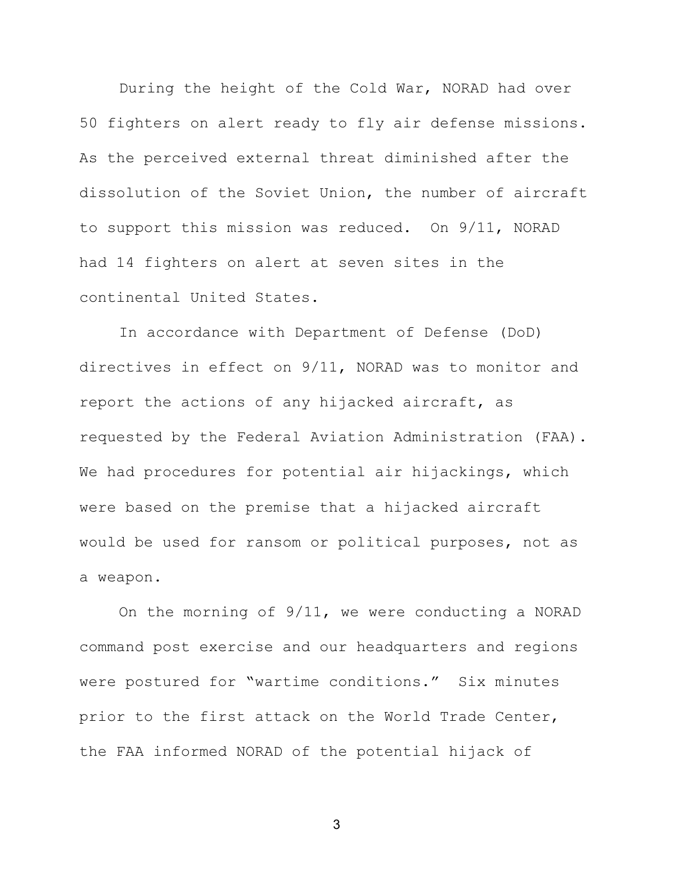During the height of the Cold War, NORAD had over 50 fighters on alert ready to fly air defense missions. As the perceived external threat diminished after the dissolution of the Soviet Union, the number of aircraft to support this mission was reduced. On 9/11, NORAD had 14 fighters on alert at seven sites in the continental United States.

In accordance with Department of Defense (DoD) directives in effect on 9/11, NORAD was to monitor and report the actions of any hijacked aircraft, as requested by the Federal Aviation Administration (FAA). We had procedures for potential air hijackings, which were based on the premise that a hijacked aircraft would be used for ransom or political purposes, not as a weapon.

On the morning of 9/11, we were conducting a NORAD command post exercise and our headquarters and regions were postured for "wartime conditions." Six minutes prior to the first attack on the World Trade Center, the FAA informed NORAD of the potential hijack of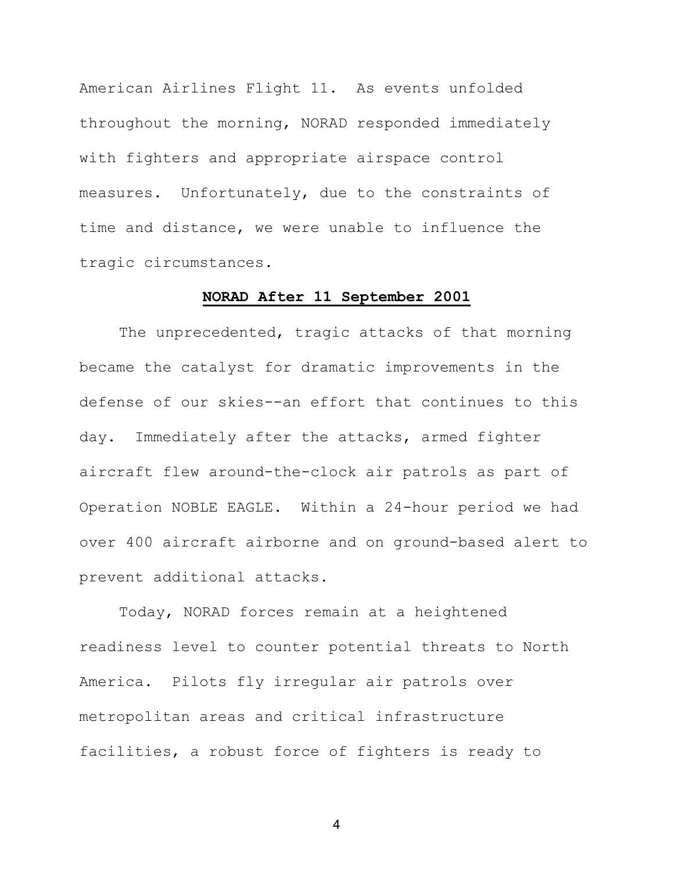American Airlines Flight 11. As events unfolded throughout the morning, NORAD responded immediately with fighters and appropriate airspace control measures. Unfortunately, due to the constraints of time and distance, we were unable to influence the tragic circumstances.

### **NORAD After 11 September 2001**

The unprecedented, tragic attacks of that morning became the catalyst for dramatic improvements in the defense of our skies--an effort that continues to this day. Immediately after the attacks, armed fighter aircraft flew around-the-clock air patrols as part of Operation NOBLE EAGLE. Within a 24-hour period we had over 400 aircraft airborne and on ground-based alert to prevent additional attacks.

Today, NORAD forces remain at a heightened readiness level to counter potential threats to North America. Pilots fly irregular air patrols over metropolitan areas and critical infrastructure facilities, a robust force of fighters is ready to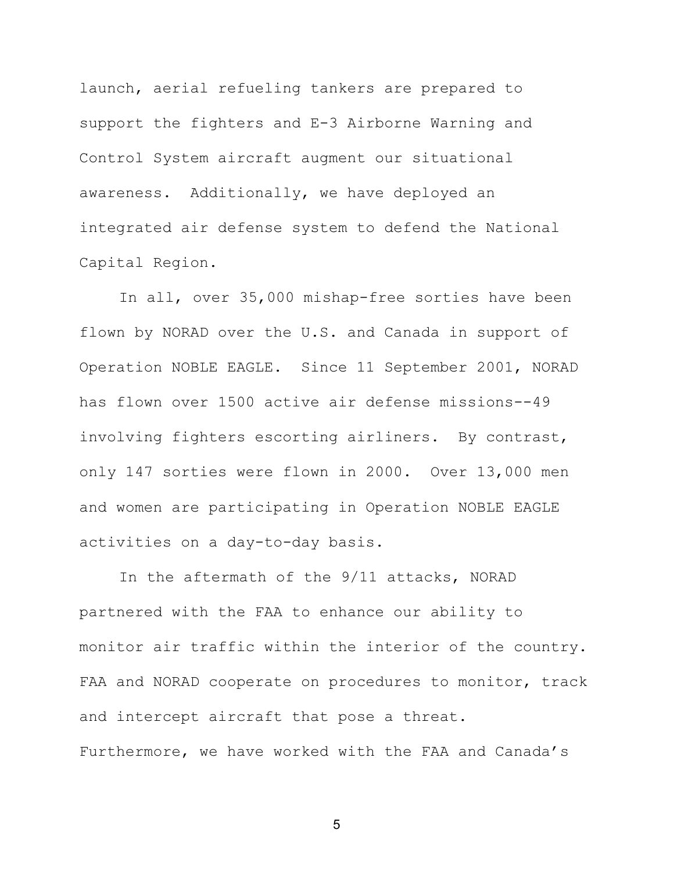launch, aerial refueling tankers are prepared to support the fighters and E-3 Airborne Warning and Control System aircraft augment our situational awareness. Additionally, we have deployed an integrated air defense system to defend the National Capital Region.

In all, over 35,000 mishap-free sorties have been flown by NORAD over the U.S. and Canada in support of Operation NOBLE EAGLE. Since 11 September 2001, NORAD has flown over 1500 active air defense missions--49 involving fighters escorting airliners. By contrast, only 147 sorties were flown in 2000. Over 13,000 men and women are participating in Operation NOBLE EAGLE activities on a day-to-day basis.

In the aftermath of the 9/11 attacks, NORAD partnered with the FAA to enhance our ability to monitor air traffic within the interior of the country. FAA and NORAD cooperate on procedures to monitor, track and intercept aircraft that pose a threat. Furthermore, we have worked with the FAA and Canada's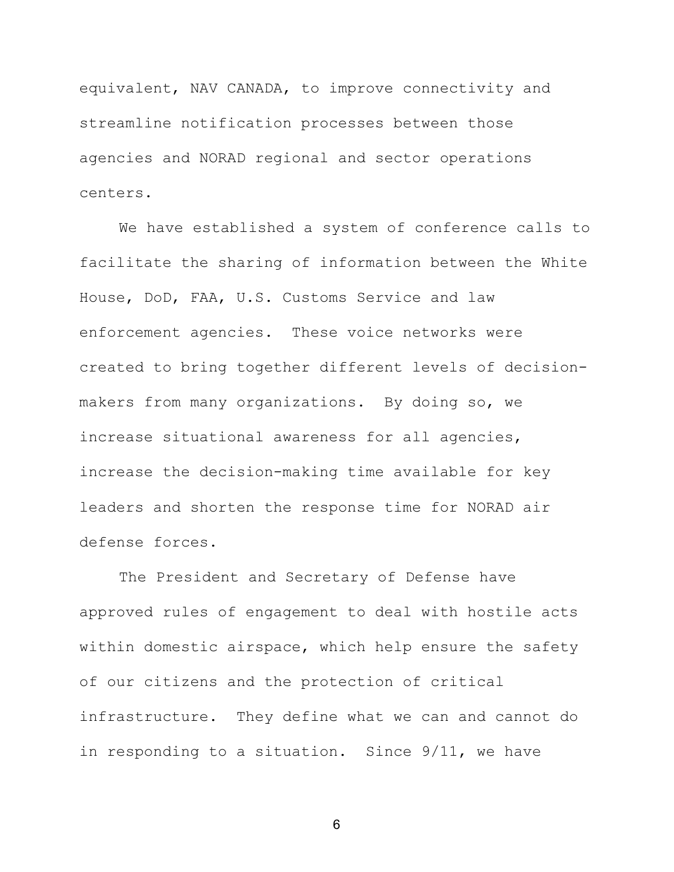equivalent, NAV CANADA, to improve connectivity and streamline notification processes between those agencies and NORAD regional and sector operations centers.

We have established a system of conference calls to facilitate the sharing of information between the White House, DoD, FAA, U.S. Customs Service and law enforcement agencies. These voice networks were created to bring together different levels of decisionmakers from many organizations. By doing so, we increase situational awareness for all agencies, increase the decision-making time available for key leaders and shorten the response time for NORAD air defense forces.

The President and Secretary of Defense have approved rules of engagement to deal with hostile acts within domestic airspace, which help ensure the safety of our citizens and the protection of critical infrastructure. They define what we can and cannot do in responding to a situation. Since 9/11, we have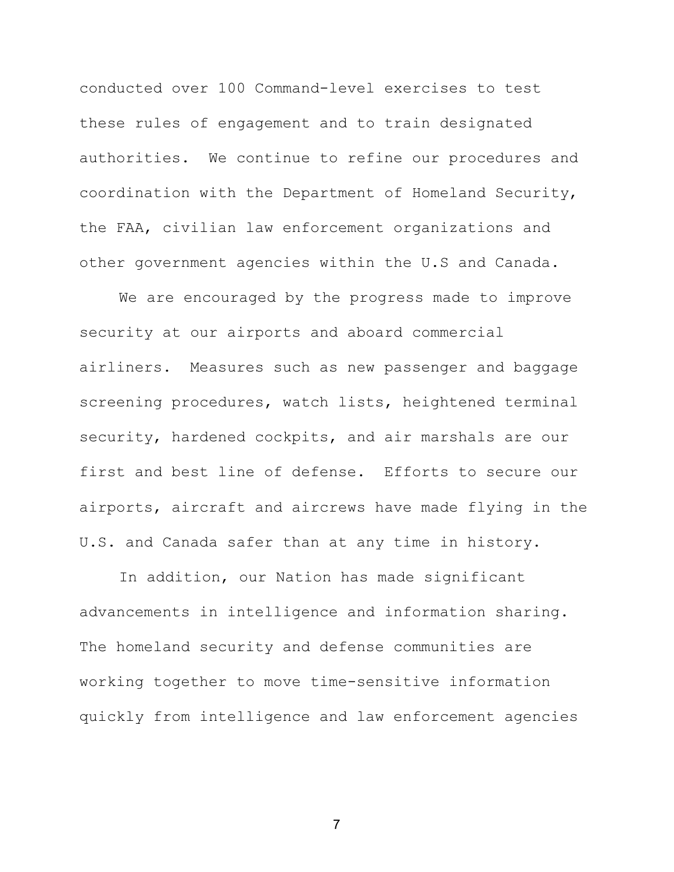conducted over 100 Command-level exercises to test these rules of engagement and to train designated authorities. We continue to refine our procedures and coordination with the Department of Homeland Security, the FAA, civilian law enforcement organizations and other government agencies within the U.S and Canada.

We are encouraged by the progress made to improve security at our airports and aboard commercial airliners. Measures such as new passenger and baggage screening procedures, watch lists, heightened terminal security, hardened cockpits, and air marshals are our first and best line of defense. Efforts to secure our airports, aircraft and aircrews have made flying in the U.S. and Canada safer than at any time in history.

In addition, our Nation has made significant advancements in intelligence and information sharing. The homeland security and defense communities are working together to move time-sensitive information quickly from intelligence and law enforcement agencies